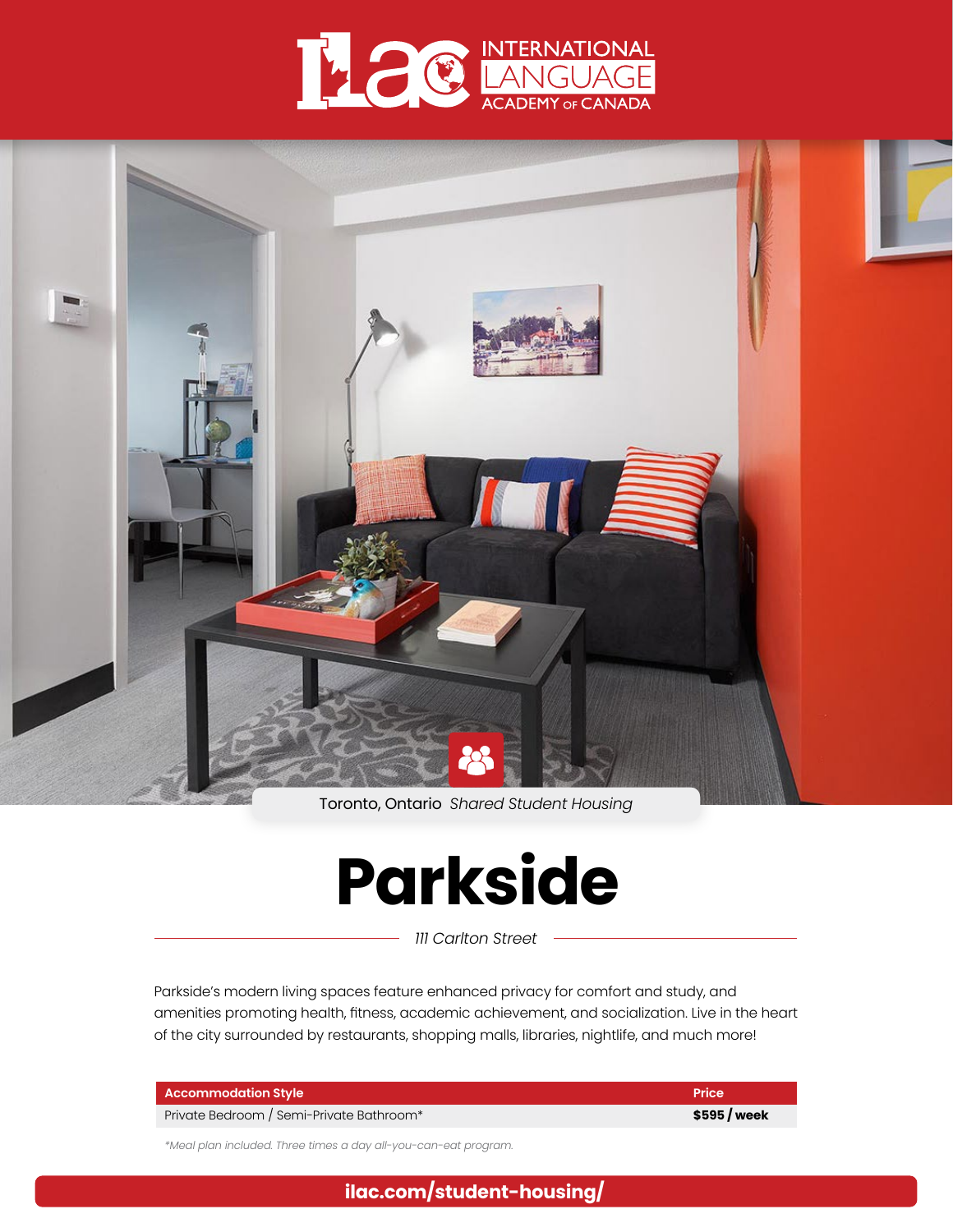



Toronto, Ontario *Shared Student Housing*

# **Parkside**

*111 Carlton Street*

Parkside's modern living spaces feature enhanced privacy for comfort and study, and amenities promoting health, fitness, academic achievement, and socialization. Live in the heart of the city surrounded by restaurants, shopping malls, libraries, nightlife, and much more!

| <b>Accommodation Style</b>               | <b>Price</b> |
|------------------------------------------|--------------|
| Private Bedroom / Semi-Private Bathroom* | \$595/week   |

*\*Meal plan included. Three times a day all-you-can-eat program.*